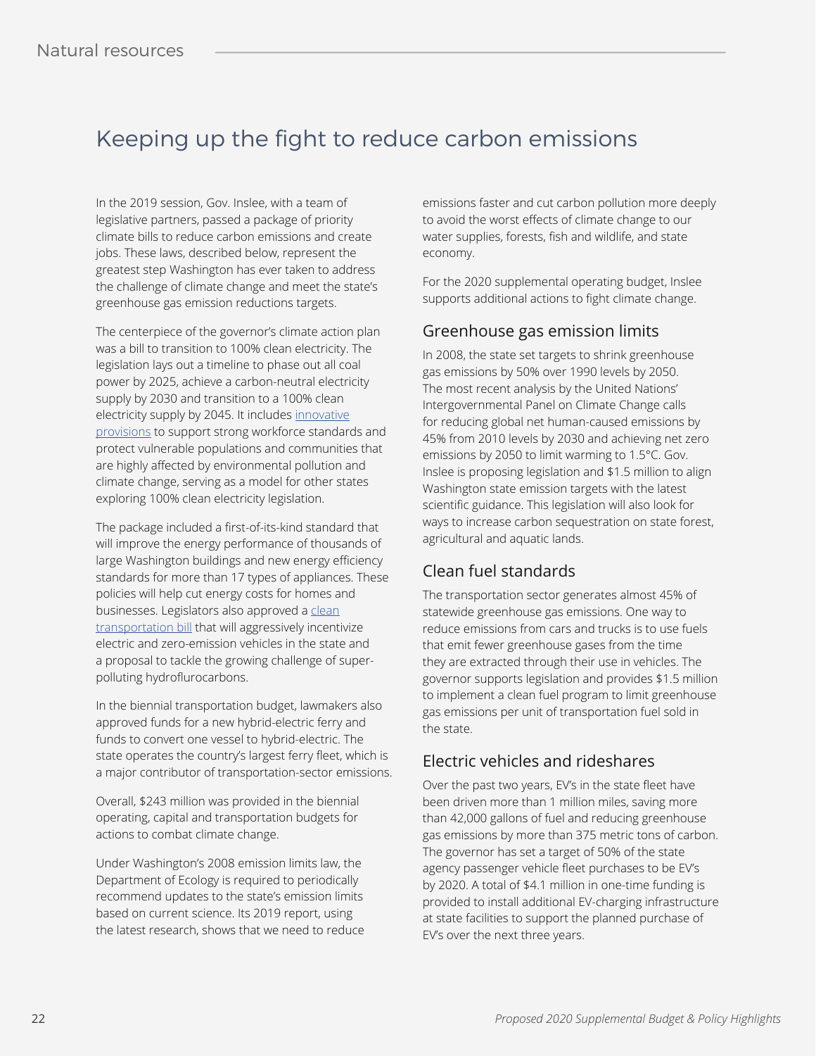# Keeping up the fight to reduce carbon emissions

In the 2019 session, Gov. Inslee, with a team of legislative partners, passed a package of priority climate bills to reduce carbon emissions and create jobs. These laws, described below, represent the greatest step Washington has ever taken to address the challenge of climate change and meet the state's greenhouse gas emission reductions targets.

The centerpiece of the governor's climate action plan was a bill to transition to 100% clean electricity. The legislation lays out a timeline to phase out all coal power by 2025, achieve a carbon-neutral electricity supply by 2030 and transition to a 100% clean electricity supply by 2045. It includes [innovative](https://www.vox.com/energy-and-environment/2019/4/18/18363292/washington-clean-energy-bill) [provisions](https://www.vox.com/energy-and-environment/2019/4/18/18363292/washington-clean-energy-bill) to support strong workforce standards and protect vulnerable populations and communities that are highly affected by environmental pollution and climate change, serving as a model for other states exploring 100% clean electricity legislation.

The package included a first-of-its-kind standard that will improve the energy performance of thousands of large Washington buildings and new energy efficiency standards for more than 17 types of appliances. These policies will help cut energy costs for homes and businesses. Legislators also approved a [clean](https://app.leg.wa.gov/billsummary?BillNumber=2042&Initiative=false&Year=2019) [transportation bill](https://app.leg.wa.gov/billsummary?BillNumber=2042&Initiative=false&Year=2019) that will aggressively incentivize electric and zero-emission vehicles in the state and a proposal to tackle the growing challenge of superpolluting hydroflurocarbons.

In the biennial transportation budget, lawmakers also approved funds for a new hybrid-electric ferry and funds to convert one vessel to hybrid-electric. The state operates the country's largest ferry fleet, which is a major contributor of transportation-sector emissions.

Overall, \$243 million was provided in the biennial operating, capital and transportation budgets for actions to combat climate change.

Under Washington's 2008 emission limits law, the Department of Ecology is required to periodically recommend updates to the state's emission limits based on current science. Its 2019 report, using the latest research, shows that we need to reduce

emissions faster and cut carbon pollution more deeply to avoid the worst effects of climate change to our water supplies, forests, fish and wildlife, and state economy.

For the 2020 supplemental operating budget, Inslee supports additional actions to fight climate change.

### Greenhouse gas emission limits

In 2008, the state set targets to shrink greenhouse gas emissions by 50% over 1990 levels by 2050. The most recent analysis by the United Nations' Intergovernmental Panel on Climate Change calls for reducing global net human-caused emissions by 45% from 2010 levels by 2030 and achieving net zero emissions by 2050 to limit warming to 1.5°C. Gov. Inslee is proposing legislation and \$1.5 million to align Washington state emission targets with the latest scientific guidance. This legislation will also look for ways to increase carbon sequestration on state forest, agricultural and aquatic lands.

## Clean fuel standards

The transportation sector generates almost 45% of statewide greenhouse gas emissions. One way to reduce emissions from cars and trucks is to use fuels that emit fewer greenhouse gases from the time they are extracted through their use in vehicles. The governor supports legislation and provides \$1.5 million to implement a clean fuel program to limit greenhouse gas emissions per unit of transportation fuel sold in the state.

### Electric vehicles and rideshares

Over the past two years, EV's in the state fleet have been driven more than 1 million miles, saving more than 42,000 gallons of fuel and reducing greenhouse gas emissions by more than 375 metric tons of carbon. The governor has set a target of 50% of the state agency passenger vehicle fleet purchases to be EV's by 2020. A total of \$4.1 million in one-time funding is provided to install additional EV-charging infrastructure at state facilities to support the planned purchase of EV's over the next three years.